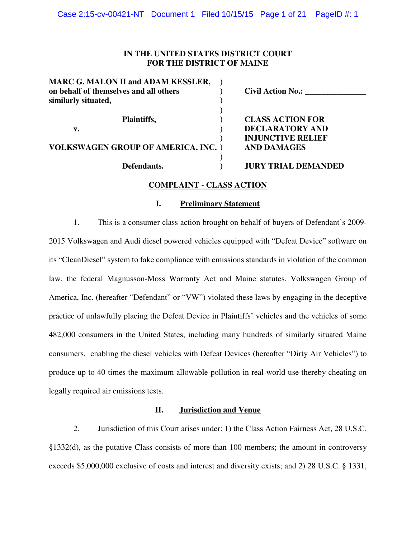### **IN THE UNITED STATES DISTRICT COURT FOR THE DISTRICT OF MAINE**

| <b>MARC G. MALON II and ADAM KESSLER,</b><br>on behalf of themselves and all others<br>similarly situated, | <b>Civil Action No.:</b>                          |
|------------------------------------------------------------------------------------------------------------|---------------------------------------------------|
| Plaintiffs,<br>v.                                                                                          | <b>CLASS ACTION FOR</b><br><b>DECLARATORY AND</b> |
| <b>VOLKSWAGEN GROUP OF AMERICA, INC. )</b>                                                                 | <b>INJUNCTIVE RELIEF</b><br><b>AND DAMAGES</b>    |
| Defendants.                                                                                                | <b>JURY TRIAL DEMANDED</b>                        |

## **COMPLAINT - CLASS ACTION**

### **I. Preliminary Statement**

1. This is a consumer class action brought on behalf of buyers of Defendant's 2009- 2015 Volkswagen and Audi diesel powered vehicles equipped with "Defeat Device" software on its "CleanDiesel" system to fake compliance with emissions standards in violation of the common law, the federal Magnusson-Moss Warranty Act and Maine statutes. Volkswagen Group of America, Inc. (hereafter "Defendant" or "VW") violated these laws by engaging in the deceptive practice of unlawfully placing the Defeat Device in Plaintiffs' vehicles and the vehicles of some 482,000 consumers in the United States, including many hundreds of similarly situated Maine consumers, enabling the diesel vehicles with Defeat Devices (hereafter "Dirty Air Vehicles") to produce up to 40 times the maximum allowable pollution in real-world use thereby cheating on legally required air emissions tests.

### **II. Jurisdiction and Venue**

2. Jurisdiction of this Court arises under: 1) the Class Action Fairness Act, 28 U.S.C. §1332(d), as the putative Class consists of more than 100 members; the amount in controversy exceeds \$5,000,000 exclusive of costs and interest and diversity exists; and 2) 28 U.S.C. § 1331,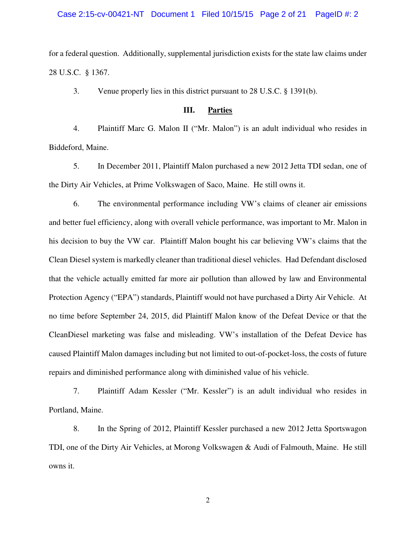#### Case 2:15-cv-00421-NT Document 1 Filed 10/15/15 Page 2 of 21 PageID #: 2

for a federal question. Additionally, supplemental jurisdiction exists for the state law claims under 28 U.S.C. § 1367.

3. Venue properly lies in this district pursuant to 28 U.S.C. § 1391(b).

### **III. Parties**

4. Plaintiff Marc G. Malon II ("Mr. Malon") is an adult individual who resides in Biddeford, Maine.

5. In December 2011, Plaintiff Malon purchased a new 2012 Jetta TDI sedan, one of the Dirty Air Vehicles, at Prime Volkswagen of Saco, Maine. He still owns it.

6. The environmental performance including VW's claims of cleaner air emissions and better fuel efficiency, along with overall vehicle performance, was important to Mr. Malon in his decision to buy the VW car. Plaintiff Malon bought his car believing VW's claims that the Clean Diesel system is markedly cleaner than traditional diesel vehicles. Had Defendant disclosed that the vehicle actually emitted far more air pollution than allowed by law and Environmental Protection Agency ("EPA") standards, Plaintiff would not have purchased a Dirty Air Vehicle. At no time before September 24, 2015, did Plaintiff Malon know of the Defeat Device or that the CleanDiesel marketing was false and misleading. VW's installation of the Defeat Device has caused Plaintiff Malon damages including but not limited to out-of-pocket-loss, the costs of future repairs and diminished performance along with diminished value of his vehicle.

7. Plaintiff Adam Kessler ("Mr. Kessler") is an adult individual who resides in Portland, Maine.

8. In the Spring of 2012, Plaintiff Kessler purchased a new 2012 Jetta Sportswagon TDI, one of the Dirty Air Vehicles, at Morong Volkswagen & Audi of Falmouth, Maine. He still owns it.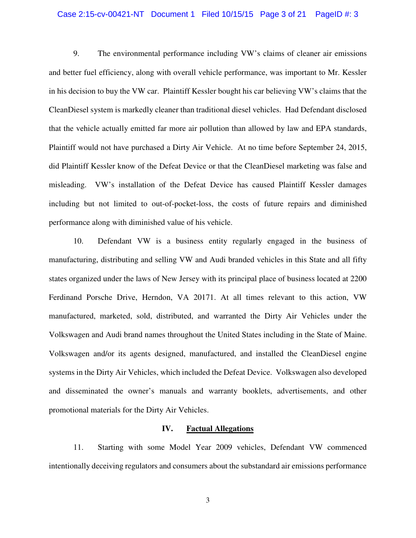### Case 2:15-cv-00421-NT Document 1 Filed 10/15/15 Page 3 of 21 PageID #: 3

9. The environmental performance including VW's claims of cleaner air emissions and better fuel efficiency, along with overall vehicle performance, was important to Mr. Kessler in his decision to buy the VW car. Plaintiff Kessler bought his car believing VW's claims that the CleanDiesel system is markedly cleaner than traditional diesel vehicles. Had Defendant disclosed that the vehicle actually emitted far more air pollution than allowed by law and EPA standards, Plaintiff would not have purchased a Dirty Air Vehicle. At no time before September 24, 2015, did Plaintiff Kessler know of the Defeat Device or that the CleanDiesel marketing was false and misleading. VW's installation of the Defeat Device has caused Plaintiff Kessler damages including but not limited to out-of-pocket-loss, the costs of future repairs and diminished performance along with diminished value of his vehicle.

10. Defendant VW is a business entity regularly engaged in the business of manufacturing, distributing and selling VW and Audi branded vehicles in this State and all fifty states organized under the laws of New Jersey with its principal place of business located at 2200 Ferdinand Porsche Drive, Herndon, VA 20171. At all times relevant to this action, VW manufactured, marketed, sold, distributed, and warranted the Dirty Air Vehicles under the Volkswagen and Audi brand names throughout the United States including in the State of Maine. Volkswagen and/or its agents designed, manufactured, and installed the CleanDiesel engine systems in the Dirty Air Vehicles, which included the Defeat Device. Volkswagen also developed and disseminated the owner's manuals and warranty booklets, advertisements, and other promotional materials for the Dirty Air Vehicles.

#### **IV. Factual Allegations**

11. Starting with some Model Year 2009 vehicles, Defendant VW commenced intentionally deceiving regulators and consumers about the substandard air emissions performance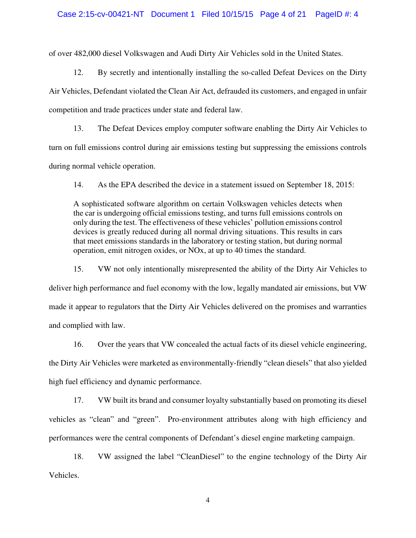#### Case 2:15-cv-00421-NT Document 1 Filed 10/15/15 Page 4 of 21 PageID #: 4

of over 482,000 diesel Volkswagen and Audi Dirty Air Vehicles sold in the United States.

12. By secretly and intentionally installing the so-called Defeat Devices on the Dirty Air Vehicles, Defendant violated the Clean Air Act, defrauded its customers, and engaged in unfair competition and trade practices under state and federal law.

13. The Defeat Devices employ computer software enabling the Dirty Air Vehicles to turn on full emissions control during air emissions testing but suppressing the emissions controls during normal vehicle operation.

14. As the EPA described the device in a statement issued on September 18, 2015:

A sophisticated software algorithm on certain Volkswagen vehicles detects when the car is undergoing official emissions testing, and turns full emissions controls on only during the test. The effectiveness of these vehicles' pollution emissions control devices is greatly reduced during all normal driving situations. This results in cars that meet emissions standards in the laboratory or testing station, but during normal operation, emit nitrogen oxides, or NOx, at up to 40 times the standard.

15. VW not only intentionally misrepresented the ability of the Dirty Air Vehicles to deliver high performance and fuel economy with the low, legally mandated air emissions, but VW made it appear to regulators that the Dirty Air Vehicles delivered on the promises and warranties and complied with law.

16. Over the years that VW concealed the actual facts of its diesel vehicle engineering, the Dirty Air Vehicles were marketed as environmentally-friendly "clean diesels" that also yielded high fuel efficiency and dynamic performance.

17. VW built its brand and consumer loyalty substantially based on promoting its diesel vehicles as "clean" and "green". Pro-environment attributes along with high efficiency and performances were the central components of Defendant's diesel engine marketing campaign.

18. VW assigned the label "CleanDiesel" to the engine technology of the Dirty Air Vehicles.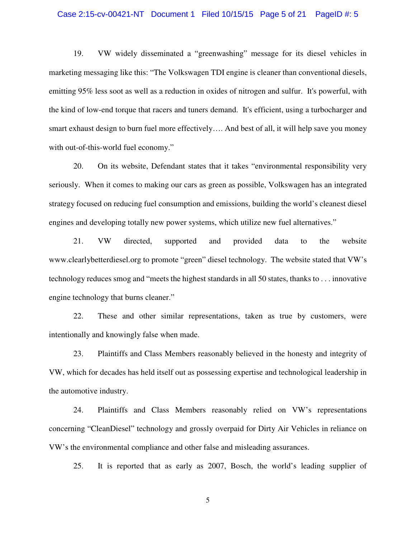### Case 2:15-cv-00421-NT Document 1 Filed 10/15/15 Page 5 of 21 PageID #: 5

19. VW widely disseminated a "greenwashing" message for its diesel vehicles in marketing messaging like this: "The Volkswagen TDI engine is cleaner than conventional diesels, emitting 95% less soot as well as a reduction in oxides of nitrogen and sulfur. It's powerful, with the kind of low-end torque that racers and tuners demand. It's efficient, using a turbocharger and smart exhaust design to burn fuel more effectively…. And best of all, it will help save you money with out-of-this-world fuel economy."

20. On its website, Defendant states that it takes "environmental responsibility very seriously. When it comes to making our cars as green as possible, Volkswagen has an integrated strategy focused on reducing fuel consumption and emissions, building the world's cleanest diesel engines and developing totally new power systems, which utilize new fuel alternatives."

21. VW directed, supported and provided data to the website www.clearlybetterdiesel.org to promote "green" diesel technology. The website stated that VW's technology reduces smog and "meets the highest standards in all 50 states, thanks to . . . innovative engine technology that burns cleaner."

22. These and other similar representations, taken as true by customers, were intentionally and knowingly false when made.

23. Plaintiffs and Class Members reasonably believed in the honesty and integrity of VW, which for decades has held itself out as possessing expertise and technological leadership in the automotive industry.

24. Plaintiffs and Class Members reasonably relied on VW's representations concerning "CleanDiesel" technology and grossly overpaid for Dirty Air Vehicles in reliance on VW's the environmental compliance and other false and misleading assurances.

25. It is reported that as early as 2007, Bosch, the world's leading supplier of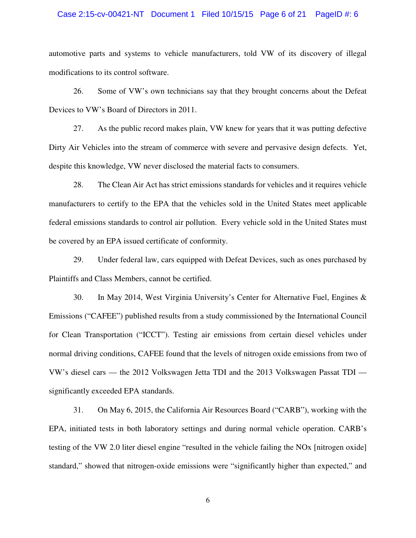### Case 2:15-cv-00421-NT Document 1 Filed 10/15/15 Page 6 of 21 PageID #: 6

automotive parts and systems to vehicle manufacturers, told VW of its discovery of illegal modifications to its control software.

26. Some of VW's own technicians say that they brought concerns about the Defeat Devices to VW's Board of Directors in 2011.

27. As the public record makes plain, VW knew for years that it was putting defective Dirty Air Vehicles into the stream of commerce with severe and pervasive design defects. Yet, despite this knowledge, VW never disclosed the material facts to consumers.

28. The Clean Air Act has strict emissions standards for vehicles and it requires vehicle manufacturers to certify to the EPA that the vehicles sold in the United States meet applicable federal emissions standards to control air pollution. Every vehicle sold in the United States must be covered by an EPA issued certificate of conformity.

29. Under federal law, cars equipped with Defeat Devices, such as ones purchased by Plaintiffs and Class Members, cannot be certified.

30. In May 2014, West Virginia University's Center for Alternative Fuel, Engines & Emissions ("CAFEE") published results from a study commissioned by the International Council for Clean Transportation ("ICCT"). Testing air emissions from certain diesel vehicles under normal driving conditions, CAFEE found that the levels of nitrogen oxide emissions from two of VW's diesel cars — the 2012 Volkswagen Jetta TDI and the 2013 Volkswagen Passat TDI significantly exceeded EPA standards.

31. On May 6, 2015, the California Air Resources Board ("CARB"), working with the EPA, initiated tests in both laboratory settings and during normal vehicle operation. CARB's testing of the VW 2.0 liter diesel engine "resulted in the vehicle failing the NOx [nitrogen oxide] standard," showed that nitrogen-oxide emissions were "significantly higher than expected," and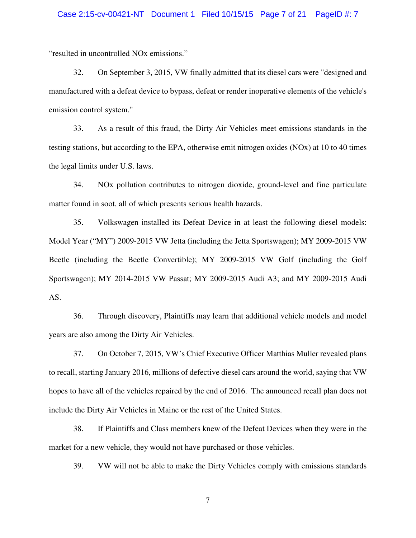### Case 2:15-cv-00421-NT Document 1 Filed 10/15/15 Page 7 of 21 PageID #: 7

"resulted in uncontrolled NOx emissions."

32. On September 3, 2015, VW finally admitted that its diesel cars were "designed and manufactured with a defeat device to bypass, defeat or render inoperative elements of the vehicle's emission control system."

33. As a result of this fraud, the Dirty Air Vehicles meet emissions standards in the testing stations, but according to the EPA, otherwise emit nitrogen oxides (NOx) at 10 to 40 times the legal limits under U.S. laws.

34. NOx pollution contributes to nitrogen dioxide, ground-level and fine particulate matter found in soot, all of which presents serious health hazards.

35. Volkswagen installed its Defeat Device in at least the following diesel models: Model Year ("MY") 2009-2015 VW Jetta (including the Jetta Sportswagen); MY 2009-2015 VW Beetle (including the Beetle Convertible); MY 2009-2015 VW Golf (including the Golf Sportswagen); MY 2014-2015 VW Passat; MY 2009-2015 Audi A3; and MY 2009-2015 Audi AS.

36. Through discovery, Plaintiffs may learn that additional vehicle models and model years are also among the Dirty Air Vehicles.

37. On October 7, 2015, VW's Chief Executive Officer Matthias Muller revealed plans to recall, starting January 2016, millions of defective diesel cars around the world, saying that VW hopes to have all of the vehicles repaired by the end of 2016. The announced recall plan does not include the Dirty Air Vehicles in Maine or the rest of the United States.

38. If Plaintiffs and Class members knew of the Defeat Devices when they were in the market for a new vehicle, they would not have purchased or those vehicles.

39. VW will not be able to make the Dirty Vehicles comply with emissions standards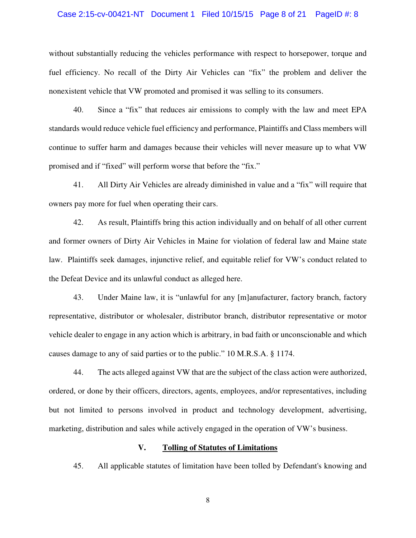### Case 2:15-cv-00421-NT Document 1 Filed 10/15/15 Page 8 of 21 PageID #: 8

without substantially reducing the vehicles performance with respect to horsepower, torque and fuel efficiency. No recall of the Dirty Air Vehicles can "fix" the problem and deliver the nonexistent vehicle that VW promoted and promised it was selling to its consumers.

40. Since a "fix" that reduces air emissions to comply with the law and meet EPA standards would reduce vehicle fuel efficiency and performance, Plaintiffs and Class members will continue to suffer harm and damages because their vehicles will never measure up to what VW promised and if "fixed" will perform worse that before the "fix."

41. All Dirty Air Vehicles are already diminished in value and a "fix" will require that owners pay more for fuel when operating their cars.

42. As result, Plaintiffs bring this action individually and on behalf of all other current and former owners of Dirty Air Vehicles in Maine for violation of federal law and Maine state law. Plaintiffs seek damages, injunctive relief, and equitable relief for VW's conduct related to the Defeat Device and its unlawful conduct as alleged here.

43. Under Maine law, it is "unlawful for any [m]anufacturer, factory branch, factory representative, distributor or wholesaler, distributor branch, distributor representative or motor vehicle dealer to engage in any action which is arbitrary, in bad faith or unconscionable and which causes damage to any of said parties or to the public." 10 M.R.S.A. § 1174.

44. The acts alleged against VW that are the subject of the class action were authorized, ordered, or done by their officers, directors, agents, employees, and/or representatives, including but not limited to persons involved in product and technology development, advertising, marketing, distribution and sales while actively engaged in the operation of VW's business.

### **V. Tolling of Statutes of Limitations**

45. All applicable statutes of limitation have been tolled by Defendant's knowing and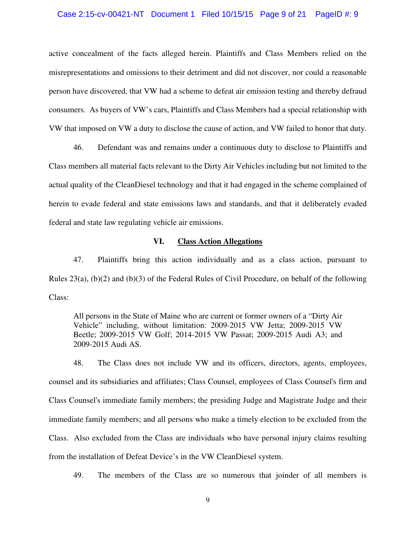#### Case 2:15-cv-00421-NT Document 1 Filed 10/15/15 Page 9 of 21 PageID #: 9

active concealment of the facts alleged herein. Plaintiffs and Class Members relied on the misrepresentations and omissions to their detriment and did not discover, nor could a reasonable person have discovered, that VW had a scheme to defeat air emission testing and thereby defraud consumers. As buyers of VW's cars, Plaintiffs and Class Members had a special relationship with VW that imposed on VW a duty to disclose the cause of action, and VW failed to honor that duty.

46. Defendant was and remains under a continuous duty to disclose to Plaintiffs and Class members all material facts relevant to the Dirty Air Vehicles including but not limited to the actual quality of the CleanDiesel technology and that it had engaged in the scheme complained of herein to evade federal and state emissions laws and standards, and that it deliberately evaded federal and state law regulating vehicle air emissions.

### **VI. Class Action Allegations**

47. Plaintiffs bring this action individually and as a class action, pursuant to Rules 23(a), (b)(2) and (b)(3) of the Federal Rules of Civil Procedure, on behalf of the following Class:

All persons in the State of Maine who are current or former owners of a "Dirty Air Vehicle" including, without limitation: 2009-2015 VW Jetta; 2009-2015 VW Beetle; 2009-2015 VW Golf; 2014-2015 VW Passat; 2009-2015 Audi A3; and 2009-2015 Audi AS.

48. The Class does not include VW and its officers, directors, agents, employees, counsel and its subsidiaries and affiliates; Class Counsel, employees of Class Counsel's firm and Class Counsel's immediate family members; the presiding Judge and Magistrate Judge and their immediate family members; and all persons who make a timely election to be excluded from the Class. Also excluded from the Class are individuals who have personal injury claims resulting from the installation of Defeat Device's in the VW CleanDiesel system.

49. The members of the Class are so numerous that joinder of all members is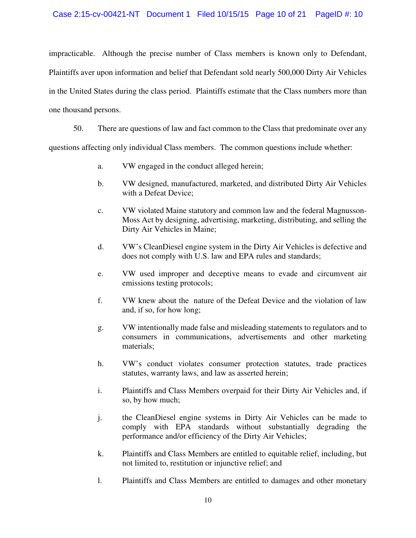### Case 2:15-cv-00421-NT Document 1 Filed 10/15/15 Page 10 of 21 PageID #: 10

impracticable. Although the precise number of Class members is known only to Defendant, Plaintiffs aver upon information and belief that Defendant sold nearly 500,000 Dirty Air Vehicles in the United States during the class period. Plaintiffs estimate that the Class numbers more than one thousand persons.

50. There are questions of law and fact common to the Class that predominate over any questions affecting only individual Class members. The common questions include whether:

- a. VW engaged in the conduct alleged herein;
- b. VW designed, manufactured, marketed, and distributed Dirty Air Vehicles with a Defeat Device;
- c. VW violated Maine statutory and common law and the federal Magnusson-Moss Act by designing, advertising, marketing, distributing, and selling the Dirty Air Vehicles in Maine;
- d. VW's CleanDiesel engine system in the Dirty Air Vehicles is defective and does not comply with U.S. law and EPA rules and standards;
- e. VW used improper and deceptive means to evade and circumvent air emissions testing protocols;
- f. VW knew about the nature of the Defeat Device and the violation of law and, if so, for how long;
- g. VW intentionally made false and misleading statements to regulators and to consumers in communications, advertisements and other marketing materials;
- h. VW's conduct violates consumer protection statutes, trade practices statutes, warranty laws, and law as asserted herein;
- i. Plaintiffs and Class Members overpaid for their Dirty Air Vehicles and, if so, by how much;
- j. the CleanDiesel engine systems in Dirty Air Vehicles can be made to comply with EPA standards without substantially degrading the performance and/or efficiency of the Dirty Air Vehicles;
- k. Plaintiffs and Class Members are entitled to equitable relief, including, but not limited to, restitution or injunctive relief; and
- l. Plaintiffs and Class Members are entitled to damages and other monetary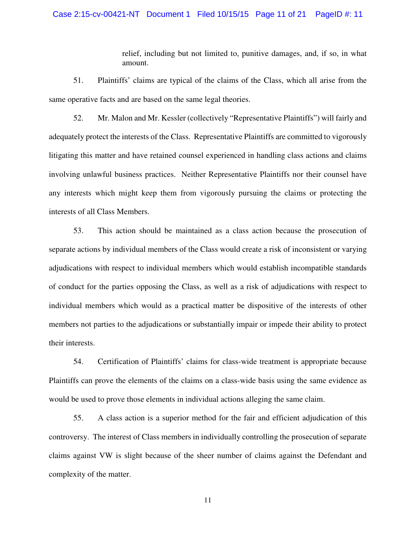### Case 2:15-cv-00421-NT Document 1 Filed 10/15/15 Page 11 of 21 PageID #: 11

relief, including but not limited to, punitive damages, and, if so, in what amount.

51. Plaintiffs' claims are typical of the claims of the Class, which all arise from the same operative facts and are based on the same legal theories.

52. Mr. Malon and Mr. Kessler (collectively "Representative Plaintiffs") will fairly and adequately protect the interests of the Class. Representative Plaintiffs are committed to vigorously litigating this matter and have retained counsel experienced in handling class actions and claims involving unlawful business practices. Neither Representative Plaintiffs nor their counsel have any interests which might keep them from vigorously pursuing the claims or protecting the interests of all Class Members.

53. This action should be maintained as a class action because the prosecution of separate actions by individual members of the Class would create a risk of inconsistent or varying adjudications with respect to individual members which would establish incompatible standards of conduct for the parties opposing the Class, as well as a risk of adjudications with respect to individual members which would as a practical matter be dispositive of the interests of other members not parties to the adjudications or substantially impair or impede their ability to protect their interests.

54. Certification of Plaintiffs' claims for class-wide treatment is appropriate because Plaintiffs can prove the elements of the claims on a class-wide basis using the same evidence as would be used to prove those elements in individual actions alleging the same claim.

55. A class action is a superior method for the fair and efficient adjudication of this controversy. The interest of Class members in individually controlling the prosecution of separate claims against VW is slight because of the sheer number of claims against the Defendant and complexity of the matter.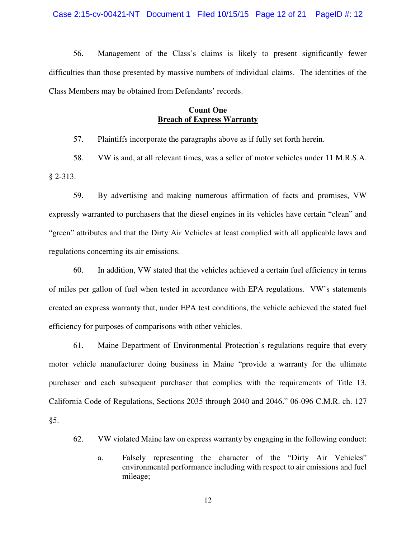56. Management of the Class's claims is likely to present significantly fewer difficulties than those presented by massive numbers of individual claims. The identities of the Class Members may be obtained from Defendants' records.

## **Count One Breach of Express Warranty**

57. Plaintiffs incorporate the paragraphs above as if fully set forth herein.

58. VW is and, at all relevant times, was a seller of motor vehicles under 11 M.R.S.A. § 2-313.

59. By advertising and making numerous affirmation of facts and promises, VW expressly warranted to purchasers that the diesel engines in its vehicles have certain "clean" and "green" attributes and that the Dirty Air Vehicles at least complied with all applicable laws and regulations concerning its air emissions.

60. In addition, VW stated that the vehicles achieved a certain fuel efficiency in terms of miles per gallon of fuel when tested in accordance with EPA regulations. VW's statements created an express warranty that, under EPA test conditions, the vehicle achieved the stated fuel efficiency for purposes of comparisons with other vehicles.

61. Maine Department of Environmental Protection's regulations require that every motor vehicle manufacturer doing business in Maine "provide a warranty for the ultimate purchaser and each subsequent purchaser that complies with the requirements of Title 13, California Code of Regulations, Sections 2035 through 2040 and 2046." 06-096 C.M.R. ch. 127 §5.

62. VW violated Maine law on express warranty by engaging in the following conduct:

a. Falsely representing the character of the "Dirty Air Vehicles" environmental performance including with respect to air emissions and fuel mileage;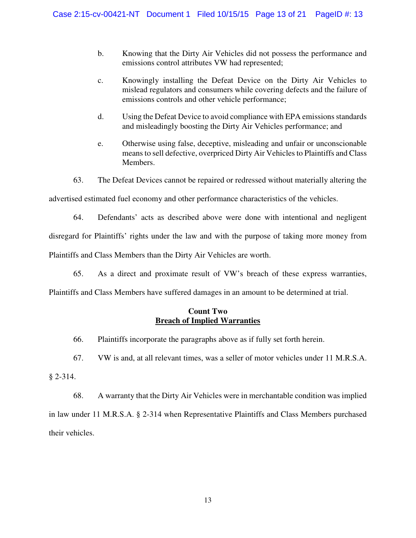- b. Knowing that the Dirty Air Vehicles did not possess the performance and emissions control attributes VW had represented;
- c. Knowingly installing the Defeat Device on the Dirty Air Vehicles to mislead regulators and consumers while covering defects and the failure of emissions controls and other vehicle performance;
- d. Using the Defeat Device to avoid compliance with EPA emissions standards and misleadingly boosting the Dirty Air Vehicles performance; and
- e. Otherwise using false, deceptive, misleading and unfair or unconscionable means to sell defective, overpriced Dirty Air Vehicles to Plaintiffs and Class Members.
- 63. The Defeat Devices cannot be repaired or redressed without materially altering the

advertised estimated fuel economy and other performance characteristics of the vehicles.

64. Defendants' acts as described above were done with intentional and negligent

disregard for Plaintiffs' rights under the law and with the purpose of taking more money from

Plaintiffs and Class Members than the Dirty Air Vehicles are worth.

65. As a direct and proximate result of VW's breach of these express warranties,

Plaintiffs and Class Members have suffered damages in an amount to be determined at trial.

# **Count Two Breach of Implied Warranties**

66. Plaintiffs incorporate the paragraphs above as if fully set forth herein.

67. VW is and, at all relevant times, was a seller of motor vehicles under 11 M.R.S.A. § 2-314.

68. A warranty that the Dirty Air Vehicles were in merchantable condition was implied in law under 11 M.R.S.A. § 2-314 when Representative Plaintiffs and Class Members purchased their vehicles.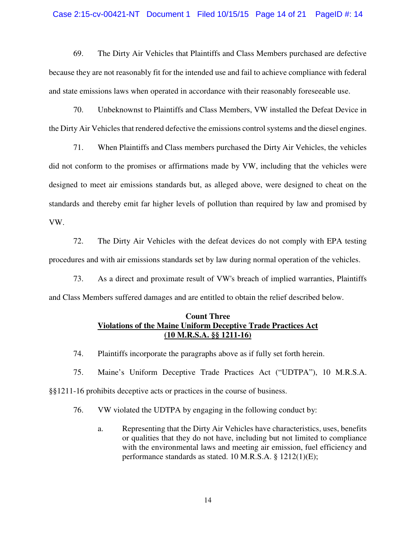### Case 2:15-cv-00421-NT Document 1 Filed 10/15/15 Page 14 of 21 PageID #: 14

69. The Dirty Air Vehicles that Plaintiffs and Class Members purchased are defective because they are not reasonably fit for the intended use and fail to achieve compliance with federal and state emissions laws when operated in accordance with their reasonably foreseeable use.

70. Unbeknownst to Plaintiffs and Class Members, VW installed the Defeat Device in the Dirty Air Vehicles that rendered defective the emissions control systems and the diesel engines.

71. When Plaintiffs and Class members purchased the Dirty Air Vehicles, the vehicles did not conform to the promises or affirmations made by VW, including that the vehicles were designed to meet air emissions standards but, as alleged above, were designed to cheat on the standards and thereby emit far higher levels of pollution than required by law and promised by VW.

72. The Dirty Air Vehicles with the defeat devices do not comply with EPA testing procedures and with air emissions standards set by law during normal operation of the vehicles.

73. As a direct and proximate result of VW's breach of implied warranties, Plaintiffs and Class Members suffered damages and are entitled to obtain the relief described below.

### **Count Three Violations of the Maine Uniform Deceptive Trade Practices Act (10 M.R.S.A. §§ 1211-16)**

74. Plaintiffs incorporate the paragraphs above as if fully set forth herein.

75. Maine's Uniform Deceptive Trade Practices Act ("UDTPA"), 10 M.R.S.A. §§1211-16 prohibits deceptive acts or practices in the course of business.

76. VW violated the UDTPA by engaging in the following conduct by:

a. Representing that the Dirty Air Vehicles have characteristics, uses, benefits or qualities that they do not have, including but not limited to compliance with the environmental laws and meeting air emission, fuel efficiency and performance standards as stated. 10 M.R.S.A. § 1212(1)(E);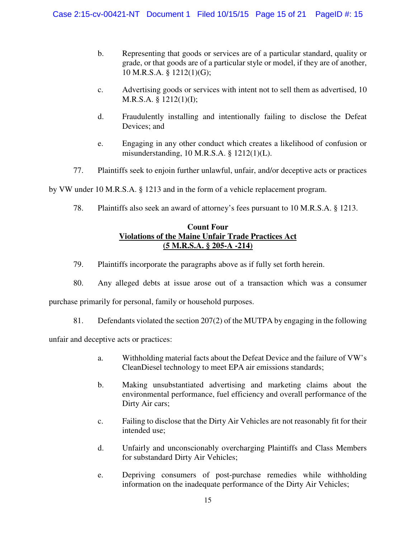- b. Representing that goods or services are of a particular standard, quality or grade, or that goods are of a particular style or model, if they are of another, 10 M.R.S.A. § 1212(1)(G);
- c. Advertising goods or services with intent not to sell them as advertised, 10 M.R.S.A. § 1212(1)(I);
- d. Fraudulently installing and intentionally failing to disclose the Defeat Devices; and
- e. Engaging in any other conduct which creates a likelihood of confusion or misunderstanding, 10 M.R.S.A. § 1212(1)(L).
- 77. Plaintiffs seek to enjoin further unlawful, unfair, and/or deceptive acts or practices

by VW under 10 M.R.S.A. § 1213 and in the form of a vehicle replacement program.

78. Plaintiffs also seek an award of attorney's fees pursuant to 10 M.R.S.A. § 1213.

# **Count Four Violations of the Maine Unfair Trade Practices Act (5 M.R.S.A. § 205-A -214)**

- 79. Plaintiffs incorporate the paragraphs above as if fully set forth herein.
- 80. Any alleged debts at issue arose out of a transaction which was a consumer purchase primarily for personal, family or household purposes.
	- 81. Defendants violated the section 207(2) of the MUTPA by engaging in the following

unfair and deceptive acts or practices:

- a. Withholding material facts about the Defeat Device and the failure of VW's CleanDiesel technology to meet EPA air emissions standards;
- b. Making unsubstantiated advertising and marketing claims about the environmental performance, fuel efficiency and overall performance of the Dirty Air cars;
- c. Failing to disclose that the Dirty Air Vehicles are not reasonably fit for their intended use;
- d. Unfairly and unconscionably overcharging Plaintiffs and Class Members for substandard Dirty Air Vehicles;
- e. Depriving consumers of post-purchase remedies while withholding information on the inadequate performance of the Dirty Air Vehicles;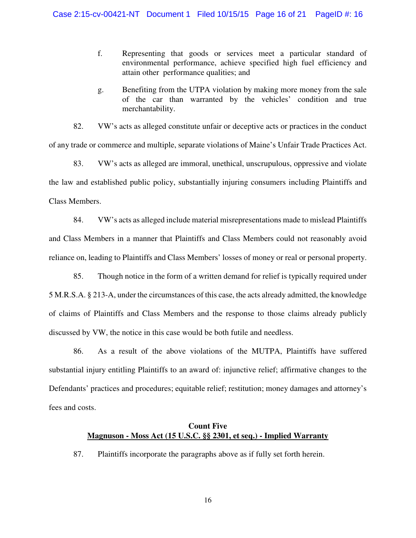- f. Representing that goods or services meet a particular standard of environmental performance, achieve specified high fuel efficiency and attain other performance qualities; and
- g. Benefiting from the UTPA violation by making more money from the sale of the car than warranted by the vehicles' condition and true merchantability.

82. VW's acts as alleged constitute unfair or deceptive acts or practices in the conduct of any trade or commerce and multiple, separate violations of Maine's Unfair Trade Practices Act.

83. VW's acts as alleged are immoral, unethical, unscrupulous, oppressive and violate the law and established public policy, substantially injuring consumers including Plaintiffs and Class Members.

84. VW's acts as alleged include material misrepresentations made to mislead Plaintiffs and Class Members in a manner that Plaintiffs and Class Members could not reasonably avoid reliance on, leading to Plaintiffs and Class Members' losses of money or real or personal property.

85. Though notice in the form of a written demand for relief is typically required under 5 M.R.S.A. § 213-A, under the circumstances of this case, the acts already admitted, the knowledge of claims of Plaintiffs and Class Members and the response to those claims already publicly discussed by VW, the notice in this case would be both futile and needless.

86. As a result of the above violations of the MUTPA, Plaintiffs have suffered substantial injury entitling Plaintiffs to an award of: injunctive relief; affirmative changes to the Defendants' practices and procedures; equitable relief; restitution; money damages and attorney's fees and costs.

# **Count Five Magnuson - Moss Act (15 U.S.C. §§ 2301, et seq.) - Implied Warranty**

87. Plaintiffs incorporate the paragraphs above as if fully set forth herein.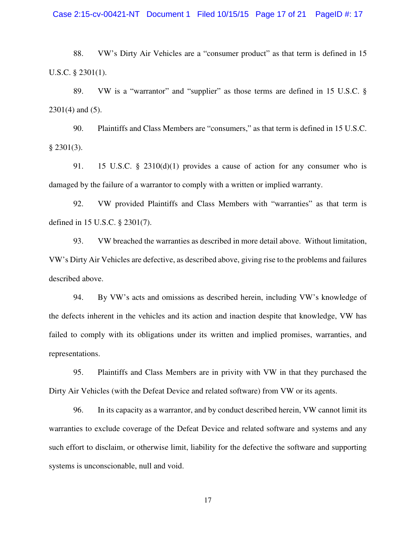### Case 2:15-cv-00421-NT Document 1 Filed 10/15/15 Page 17 of 21 PageID #: 17

88. VW's Dirty Air Vehicles are a "consumer product" as that term is defined in 15 U.S.C. § 2301(1).

89. VW is a "warrantor" and "supplier" as those terms are defined in 15 U.S.C. § 2301(4) and (5).

90. Plaintiffs and Class Members are "consumers," as that term is defined in 15 U.S.C. § 2301(3).

91. 15 U.S.C. § 2310(d)(1) provides a cause of action for any consumer who is damaged by the failure of a warrantor to comply with a written or implied warranty.

92. VW provided Plaintiffs and Class Members with "warranties" as that term is defined in 15 U.S.C. § 2301(7).

93. VW breached the warranties as described in more detail above. Without limitation, VW's Dirty Air Vehicles are defective, as described above, giving rise to the problems and failures described above.

94. By VW's acts and omissions as described herein, including VW's knowledge of the defects inherent in the vehicles and its action and inaction despite that knowledge, VW has failed to comply with its obligations under its written and implied promises, warranties, and representations.

95. Plaintiffs and Class Members are in privity with VW in that they purchased the Dirty Air Vehicles (with the Defeat Device and related software) from VW or its agents.

96. In its capacity as a warrantor, and by conduct described herein, VW cannot limit its warranties to exclude coverage of the Defeat Device and related software and systems and any such effort to disclaim, or otherwise limit, liability for the defective the software and supporting systems is unconscionable, null and void.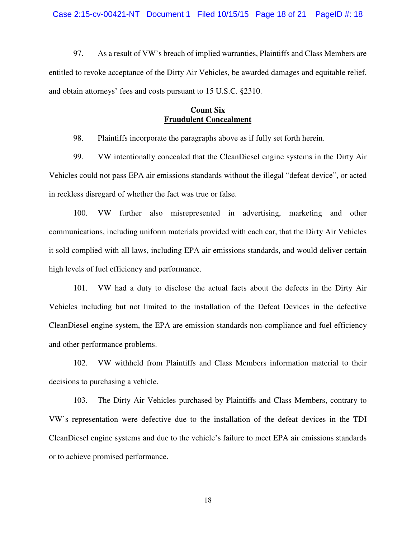97. As a result of VW's breach of implied warranties, Plaintiffs and Class Members are entitled to revoke acceptance of the Dirty Air Vehicles, be awarded damages and equitable relief, and obtain attorneys' fees and costs pursuant to 15 U.S.C. §2310.

# **Count Six Fraudulent Concealment**

98. Plaintiffs incorporate the paragraphs above as if fully set forth herein.

99. VW intentionally concealed that the CleanDiesel engine systems in the Dirty Air Vehicles could not pass EPA air emissions standards without the illegal "defeat device", or acted in reckless disregard of whether the fact was true or false.

100. VW further also misrepresented in advertising, marketing and other communications, including uniform materials provided with each car, that the Dirty Air Vehicles it sold complied with all laws, including EPA air emissions standards, and would deliver certain high levels of fuel efficiency and performance.

101. VW had a duty to disclose the actual facts about the defects in the Dirty Air Vehicles including but not limited to the installation of the Defeat Devices in the defective CleanDiesel engine system, the EPA are emission standards non-compliance and fuel efficiency and other performance problems.

102. VW withheld from Plaintiffs and Class Members information material to their decisions to purchasing a vehicle.

103. The Dirty Air Vehicles purchased by Plaintiffs and Class Members, contrary to VW's representation were defective due to the installation of the defeat devices in the TDI CleanDiesel engine systems and due to the vehicle's failure to meet EPA air emissions standards or to achieve promised performance.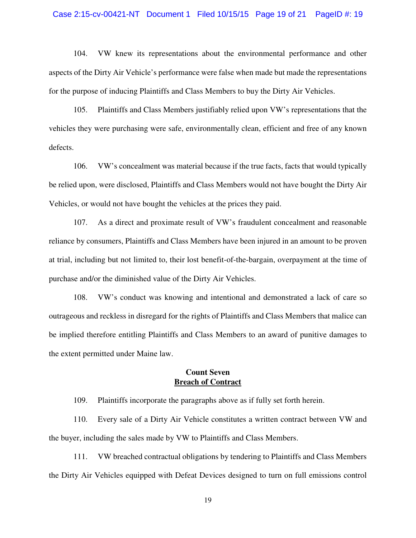### Case 2:15-cv-00421-NT Document 1 Filed 10/15/15 Page 19 of 21 PageID #: 19

104. VW knew its representations about the environmental performance and other aspects of the Dirty Air Vehicle's performance were false when made but made the representations for the purpose of inducing Plaintiffs and Class Members to buy the Dirty Air Vehicles.

105. Plaintiffs and Class Members justifiably relied upon VW's representations that the vehicles they were purchasing were safe, environmentally clean, efficient and free of any known defects.

106. VW's concealment was material because if the true facts, facts that would typically be relied upon, were disclosed, Plaintiffs and Class Members would not have bought the Dirty Air Vehicles, or would not have bought the vehicles at the prices they paid.

107. As a direct and proximate result of VW's fraudulent concealment and reasonable reliance by consumers, Plaintiffs and Class Members have been injured in an amount to be proven at trial, including but not limited to, their lost benefit-of-the-bargain, overpayment at the time of purchase and/or the diminished value of the Dirty Air Vehicles.

108. VW's conduct was knowing and intentional and demonstrated a lack of care so outrageous and reckless in disregard for the rights of Plaintiffs and Class Members that malice can be implied therefore entitling Plaintiffs and Class Members to an award of punitive damages to the extent permitted under Maine law.

## **Count Seven Breach of Contract**

109. Plaintiffs incorporate the paragraphs above as if fully set forth herein.

110. Every sale of a Dirty Air Vehicle constitutes a written contract between VW and the buyer, including the sales made by VW to Plaintiffs and Class Members.

111. VW breached contractual obligations by tendering to Plaintiffs and Class Members the Dirty Air Vehicles equipped with Defeat Devices designed to turn on full emissions control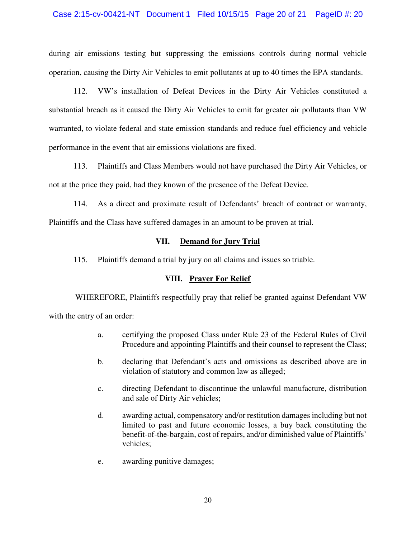### Case 2:15-cv-00421-NT Document 1 Filed 10/15/15 Page 20 of 21 PageID #: 20

during air emissions testing but suppressing the emissions controls during normal vehicle operation, causing the Dirty Air Vehicles to emit pollutants at up to 40 times the EPA standards.

112. VW's installation of Defeat Devices in the Dirty Air Vehicles constituted a substantial breach as it caused the Dirty Air Vehicles to emit far greater air pollutants than VW warranted, to violate federal and state emission standards and reduce fuel efficiency and vehicle performance in the event that air emissions violations are fixed.

113. Plaintiffs and Class Members would not have purchased the Dirty Air Vehicles, or not at the price they paid, had they known of the presence of the Defeat Device.

114. As a direct and proximate result of Defendants' breach of contract or warranty, Plaintiffs and the Class have suffered damages in an amount to be proven at trial.

# **VII. Demand for Jury Trial**

115. Plaintiffs demand a trial by jury on all claims and issues so triable.

# **VIII. Prayer For Relief**

 WHEREFORE, Plaintiffs respectfully pray that relief be granted against Defendant VW with the entry of an order:

> a. certifying the proposed Class under Rule 23 of the Federal Rules of Civil Procedure and appointing Plaintiffs and their counsel to represent the Class;

- b. declaring that Defendant's acts and omissions as described above are in violation of statutory and common law as alleged;
- c. directing Defendant to discontinue the unlawful manufacture, distribution and sale of Dirty Air vehicles;
- d. awarding actual, compensatory and/or restitution damages including but not limited to past and future economic losses, a buy back constituting the benefit-of-the-bargain, cost of repairs, and/or diminished value of Plaintiffs' vehicles;
- e. awarding punitive damages;